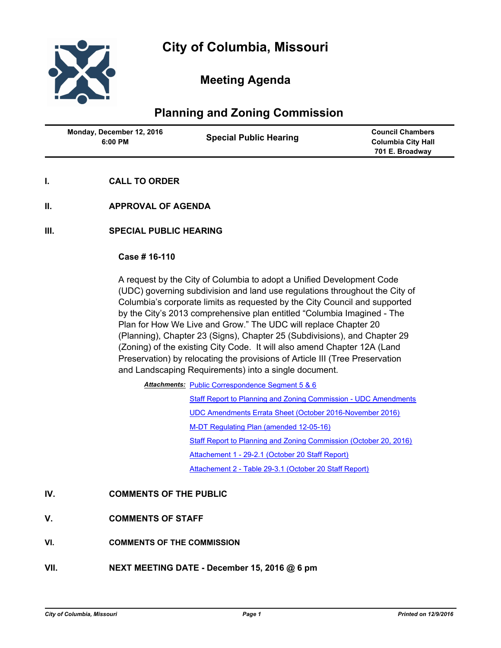

# **Meeting Agenda**

# **Planning and Zoning Commission**

| Monday, December 12, 2016<br>6:00 PM | <b>Special Public Hearing</b> | <b>Council Chambers</b><br><b>Columbia City Hall</b><br>701 E. Broadway |
|--------------------------------------|-------------------------------|-------------------------------------------------------------------------|
|                                      |                               |                                                                         |

- **I. CALL TO ORDER**
- **II. APPROVAL OF AGENDA**
- **III. SPECIAL PUBLIC HEARING**

#### **Case # 16-110**

A request by the City of Columbia to adopt a Unified Development Code (UDC) governing subdivision and land use regulations throughout the City of Columbia's corporate limits as requested by the City Council and supported by the City's 2013 comprehensive plan entitled "Columbia Imagined - The Plan for How We Live and Grow." The UDC will replace Chapter 20 (Planning), Chapter 23 (Signs), Chapter 25 (Subdivisions), and Chapter 29 (Zoning) of the existing City Code. It will also amend Chapter 12A (Land Preservation) by relocating the provisions of Article III (Tree Preservation and Landscaping Requirements) into a single document.

Attachments: [Public Correspondence Segment 5 & 6](http://gocolumbiamo.legistar.com/gateway.aspx?M=F&ID=b45c2948-f4f9-4776-ab00-db6d255fc92d.pdf)

[Staff Report to Planning and Zoning Commission - UDC Amendments](http://gocolumbiamo.legistar.com/gateway.aspx?M=F&ID=fd09c281-c0e3-42f9-8a8a-2bea172796f2.doc) [UDC Amendments Errata Sheet \(October 2016-November 2016\)](http://gocolumbiamo.legistar.com/gateway.aspx?M=F&ID=828c60d0-0acb-420d-a431-c7d83e9199e5.docx) [M-DT Regulating Plan \(amended 12-05-16\)](http://gocolumbiamo.legistar.com/gateway.aspx?M=F&ID=c266ae17-21f6-4cde-907a-995d0124383d.pdf) [Staff Report to Planning and Zoning Commission \(October 20, 2016\)](http://gocolumbiamo.legistar.com/gateway.aspx?M=F&ID=142ea5ac-42a7-41b9-95d9-7d6fdba12d01.doc) [Attachement 1 - 29-2.1 \(October 20 Staff Report\)](http://gocolumbiamo.legistar.com/gateway.aspx?M=F&ID=41bc09a9-2b77-4ccf-9dd0-429df95e6f16.pdf) [Attachement 2 - Table 29-3.1 \(October 20 Staff Report\)](http://gocolumbiamo.legistar.com/gateway.aspx?M=F&ID=0910b813-ef65-42d8-83f6-558e399e083e.pdf)

### **IV. COMMENTS OF THE PUBLIC**

- **V. COMMENTS OF STAFF**
- **VI. COMMENTS OF THE COMMISSION**
- **VII. NEXT MEETING DATE December 15, 2016 @ 6 pm**